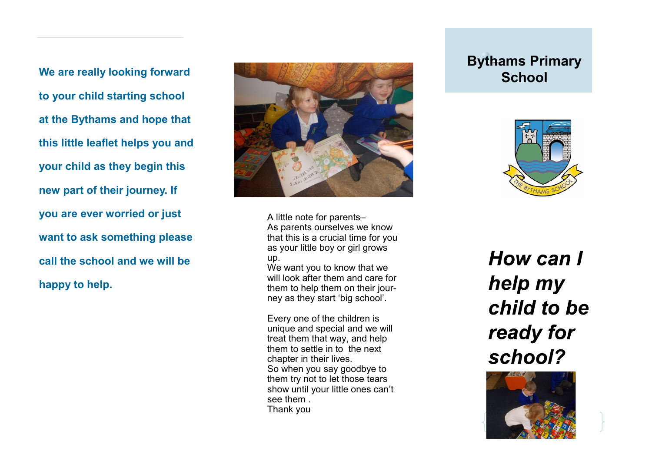**We are really looking forward to your child starting school at the Bythams and hope that this little leaflet helps you and your child as they begin this new part of their journey. If you are ever worried or just want to ask something please call the school and we will be happy to help.** 



A little note for parents– As parents ourselves we know that this is a crucial time for you as your little boy or girl grows up.

We want you to know that we will look after them and care for them to help them on their journey as they start 'big school'.

Every one of the children is unique and special and we will treat them that way, and help them to settle in to the next chapter in their lives. So when you say goodbye to them try not to let those tears show until your little ones can't see them . Thank you

## **Bythams Primary School**



How can I help my child to be ready for school?